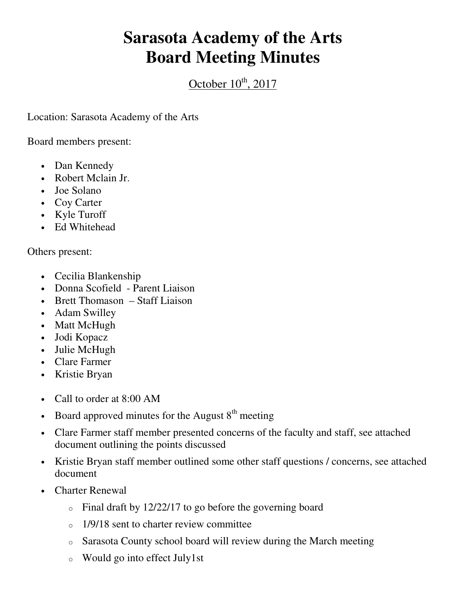## **Sarasota Academy of the Arts Board Meeting Minutes**

October  $10^{th}$ , 2017

Location: Sarasota Academy of the Arts

Board members present:

- Dan Kennedy
- Robert Mclain Jr.
- Joe Solano
- Coy Carter
- Kyle Turoff
- Ed Whitehead

Others present:

- Cecilia Blankenship
- Donna Scofield Parent Liaison
- Brett Thomason Staff Liaison
- Adam Swilley
- Matt McHugh
- Jodi Kopacz
- Julie McHugh
- Clare Farmer
- Kristie Bryan
- Call to order at 8:00 AM
- Board approved minutes for the August  $8<sup>th</sup>$  meeting
- Clare Farmer staff member presented concerns of the faculty and staff, see attached document outlining the points discussed
- Kristie Bryan staff member outlined some other staff questions / concerns, see attached document
- Charter Renewal
	- o Final draft by 12/22/17 to go before the governing board
	- $\degree$  1/9/18 sent to charter review committee
	- o Sarasota County school board will review during the March meeting
	- o Would go into effect July1st